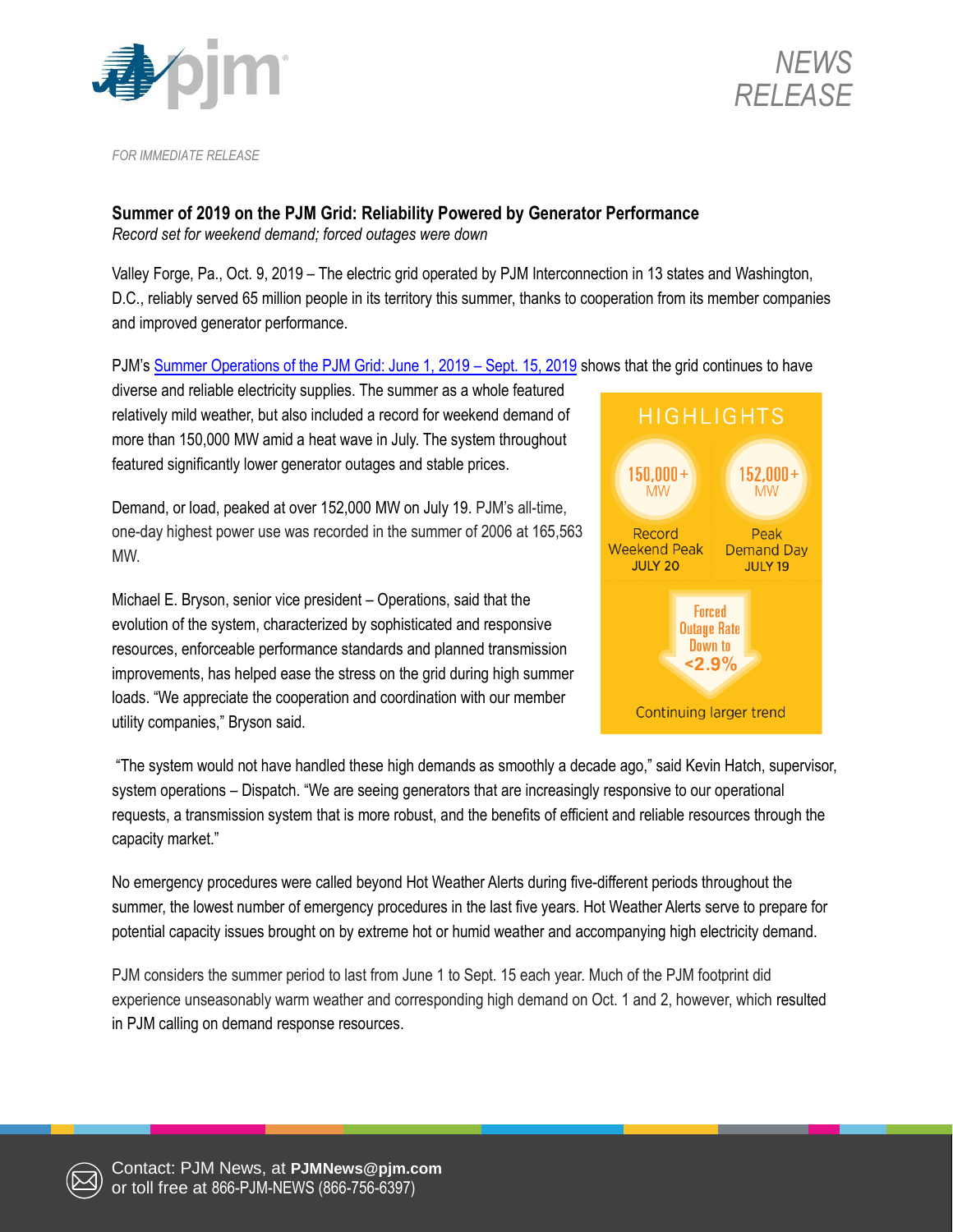



*FOR IMMEDIATE RELEASE*

## **Summer of 2019 on the PJM Grid: Reliability Powered by Generator Performance**

*Record set for weekend demand; forced outages were down*

Valley Forge, Pa., Oct. 9, 2019 – The electric grid operated by PJM Interconnection in 13 states and Washington, D.C., reliably served 65 million people in its territory this summer, thanks to cooperation from its member companies and improved generator performance.

PJM's [Summer Operations of the PJM Grid: June 1, 2019](https://pjm.com/-/media/committees-groups/committees/oc/20191015/20191015-item-18-2019-summer-operations-paper.ashx) – Sept. 15, 2019 shows that the grid continues to have

diverse and reliable electricity supplies. The summer as a whole featured relatively mild weather, but also included a record for weekend demand of more than 150,000 MW amid a heat wave in July. The system throughout featured significantly lower generator outages and stable prices.

Demand, or load, peaked at over 152,000 MW on July 19. PJM's all-time, one-day highest power use was recorded in the summer of 2006 at 165,563 MW.

Michael E. Bryson, senior vice president – Operations, said that the evolution of the system, characterized by sophisticated and responsive resources, enforceable performance standards and planned transmission improvements, has helped ease the stress on the grid during high summer loads. "We appreciate the cooperation and coordination with our member utility companies," Bryson said.



"The system would not have handled these high demands as smoothly a decade ago," said Kevin Hatch, supervisor, system operations – Dispatch. "We are seeing generators that are increasingly responsive to our operational requests, a transmission system that is more robust, and the benefits of efficient and reliable resources through the capacity market."

No emergency procedures were called beyond Hot Weather Alerts during five-different periods throughout the summer, the lowest number of emergency procedures in the last five years. Hot Weather Alerts serve to prepare for potential capacity issues brought on by extreme hot or humid weather and accompanying high electricity demand.

PJM considers the summer period to last from June 1 to Sept. 15 each year. Much of the PJM footprint did experience unseasonably warm weather and corresponding high demand on Oct. 1 and 2, however, which resulted in PJM calling on demand response resources.